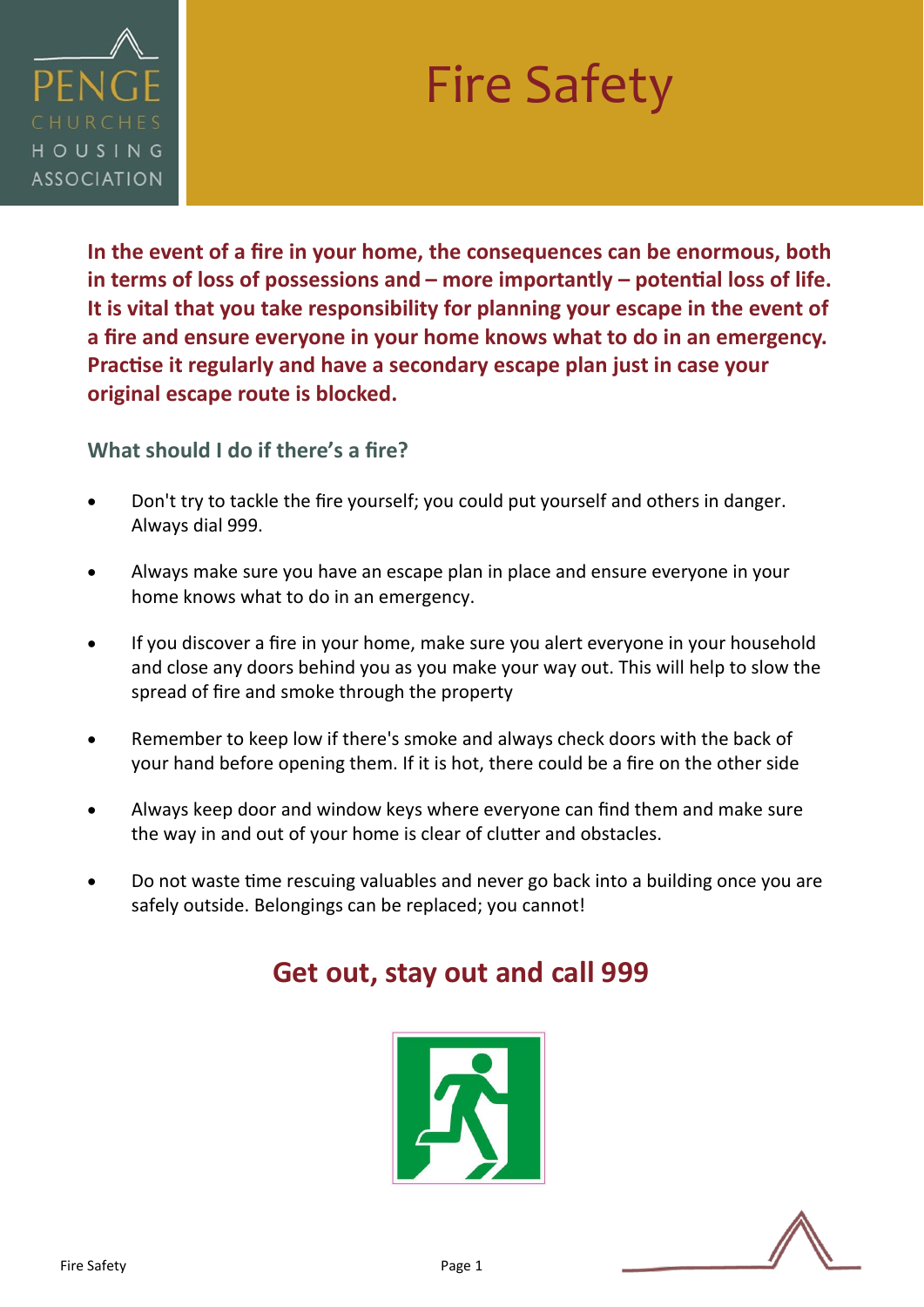

# Fire Safety

**In the event of a fire in your home, the consequences can be enormous, both in terms of loss of possessions and – more importantly – potential loss of life. It is vital that you take responsibility for planning your escape in the event of a fire and ensure everyone in your home knows what to do in an emergency. Practise it regularly and have a secondary escape plan just in case your original escape route is blocked.**

**What should I do if there's a fire?**

- Don't try to tackle the fire yourself; you could put yourself and others in danger. Always dial 999.
- Always make sure you have an escape plan in place and ensure everyone in your home knows what to do in an emergency.
- If you discover a fire in your home, make sure you alert everyone in your household and close any doors behind you as you make your way out. This will help to slow the spread of fire and smoke through the property
- Remember to keep low if there's smoke and always check doors with the back of your hand before opening them. If it is hot, there could be a fire on the other side
- Always keep door and window keys where everyone can find them and make sure the way in and out of your home is clear of clutter and obstacles.
- Do not waste time rescuing valuables and never go back into a building once you are safely outside. Belongings can be replaced; you cannot!

## **Get out, stay out and call 999**